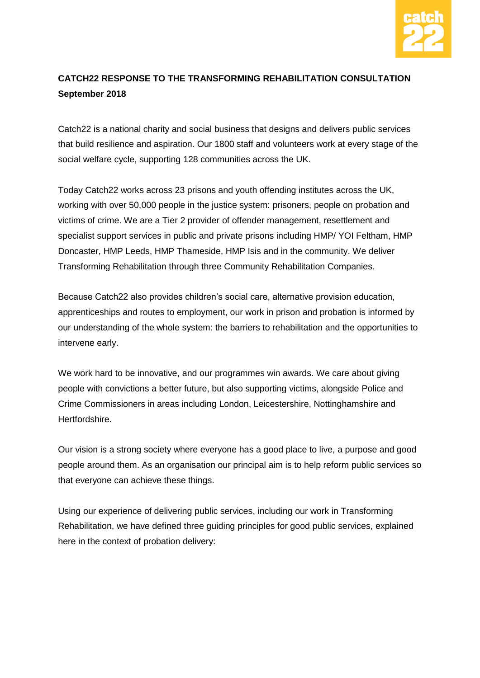

### **CATCH22 RESPONSE TO THE TRANSFORMING REHABILITATION CONSULTATION September 2018**

Catch22 is a national charity and social business that designs and delivers public services that build resilience and aspiration. Our 1800 staff and volunteers work at every stage of the social welfare cycle, supporting 128 communities across the UK.

Today Catch22 works across 23 prisons and youth offending institutes across the UK, working with over 50,000 people in the justice system: prisoners, people on probation and victims of crime. We are a Tier 2 provider of offender management, resettlement and specialist support services in public and private prisons including HMP/ YOI Feltham, HMP Doncaster, HMP Leeds, HMP Thameside, HMP Isis and in the community. We deliver Transforming Rehabilitation through three Community Rehabilitation Companies.

Because Catch22 also provides children's social care, alternative provision education, apprenticeships and routes to employment, our work in prison and probation is informed by our understanding of the whole system: the barriers to rehabilitation and the opportunities to intervene early.

We work hard to be innovative, and our programmes win awards. We care about giving people with convictions a better future, but also supporting victims, alongside Police and Crime Commissioners in areas including London, Leicestershire, Nottinghamshire and Hertfordshire.

Our vision is a strong society where everyone has a good place to live, a purpose and good people around them. As an organisation our principal aim is to help reform public services so that everyone can achieve these things.

Using our experience of delivering public services, including our work in Transforming Rehabilitation, we have defined three guiding principles for good public services, explained here in the context of probation delivery: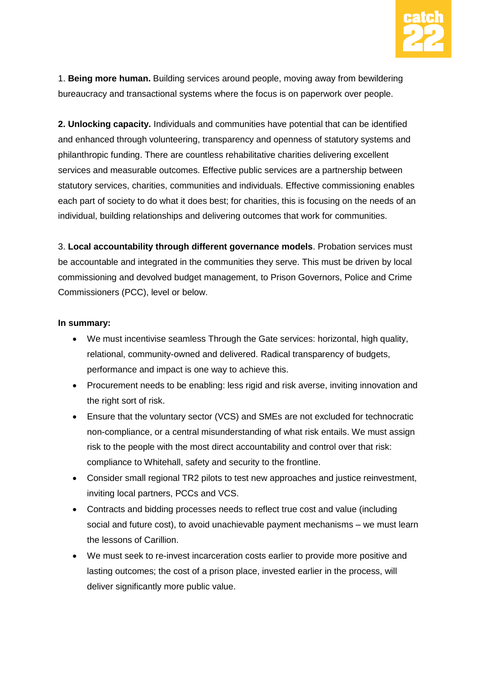

1. **Being more human.** Building services around people, moving away from bewildering bureaucracy and transactional systems where the focus is on paperwork over people.

**2. Unlocking capacity.** Individuals and communities have potential that can be identified and enhanced through volunteering, transparency and openness of statutory systems and philanthropic funding. There are countless rehabilitative charities delivering excellent services and measurable outcomes. Effective public services are a partnership between statutory services, charities, communities and individuals. Effective commissioning enables each part of society to do what it does best; for charities, this is focusing on the needs of an individual, building relationships and delivering outcomes that work for communities.

3. **Local accountability through different governance models**. Probation services must be accountable and integrated in the communities they serve. This must be driven by local commissioning and devolved budget management, to Prison Governors, Police and Crime Commissioners (PCC), level or below.

#### **In summary:**

- We must incentivise seamless Through the Gate services: horizontal, high quality, relational, community-owned and delivered. Radical transparency of budgets, performance and impact is one way to achieve this.
- Procurement needs to be enabling: less rigid and risk averse, inviting innovation and the right sort of risk.
- Ensure that the voluntary sector (VCS) and SMEs are not excluded for technocratic non-compliance, or a central misunderstanding of what risk entails. We must assign risk to the people with the most direct accountability and control over that risk: compliance to Whitehall, safety and security to the frontline.
- Consider small regional TR2 pilots to test new approaches and justice reinvestment, inviting local partners, PCCs and VCS.
- Contracts and bidding processes needs to reflect true cost and value (including social and future cost), to avoid unachievable payment mechanisms – we must learn the lessons of Carillion.
- We must seek to re-invest incarceration costs earlier to provide more positive and lasting outcomes; the cost of a prison place, invested earlier in the process, will deliver significantly more public value.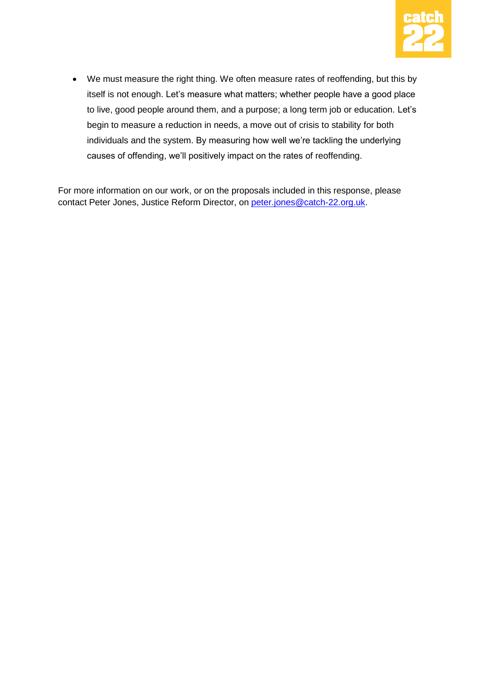

 We must measure the right thing. We often measure rates of reoffending, but this by itself is not enough. Let's measure what matters; whether people have a good place to live, good people around them, and a purpose; a long term job or education. Let's begin to measure a reduction in needs, a move out of crisis to stability for both individuals and the system. By measuring how well we're tackling the underlying causes of offending, we'll positively impact on the rates of reoffending.

For more information on our work, or on the proposals included in this response, please contact Peter Jones, Justice Reform Director, on [peter.jones@catch-22.org.uk.](mailto:peter.jones@catch-22.org.uk)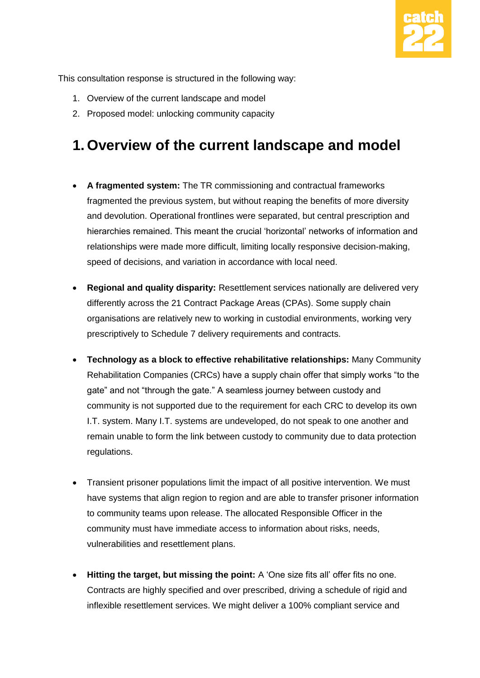

This consultation response is structured in the following way:

- 1. Overview of the current landscape and model
- 2. Proposed model: unlocking community capacity

# **1. Overview of the current landscape and model**

- **A fragmented system:** The TR commissioning and contractual frameworks fragmented the previous system, but without reaping the benefits of more diversity and devolution. Operational frontlines were separated, but central prescription and hierarchies remained. This meant the crucial 'horizontal' networks of information and relationships were made more difficult, limiting locally responsive decision-making, speed of decisions, and variation in accordance with local need.
- **Regional and quality disparity:** Resettlement services nationally are delivered very differently across the 21 Contract Package Areas (CPAs). Some supply chain organisations are relatively new to working in custodial environments, working very prescriptively to Schedule 7 delivery requirements and contracts.
- **Technology as a block to effective rehabilitative relationships:** Many Community Rehabilitation Companies (CRCs) have a supply chain offer that simply works "to the gate" and not "through the gate." A seamless journey between custody and community is not supported due to the requirement for each CRC to develop its own I.T. system. Many I.T. systems are undeveloped, do not speak to one another and remain unable to form the link between custody to community due to data protection regulations.
- Transient prisoner populations limit the impact of all positive intervention. We must have systems that align region to region and are able to transfer prisoner information to community teams upon release. The allocated Responsible Officer in the community must have immediate access to information about risks, needs, vulnerabilities and resettlement plans.
- **Hitting the target, but missing the point:** A 'One size fits all' offer fits no one. Contracts are highly specified and over prescribed, driving a schedule of rigid and inflexible resettlement services. We might deliver a 100% compliant service and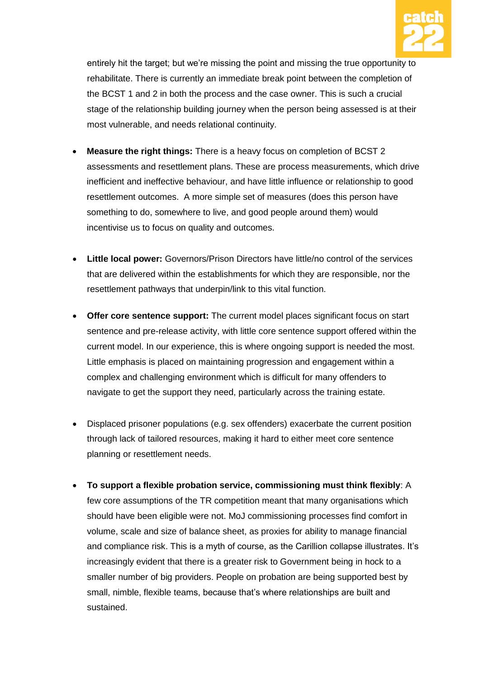

entirely hit the target; but we're missing the point and missing the true opportunity to rehabilitate. There is currently an immediate break point between the completion of the BCST 1 and 2 in both the process and the case owner. This is such a crucial stage of the relationship building journey when the person being assessed is at their most vulnerable, and needs relational continuity.

- **Measure the right things:** There is a heavy focus on completion of BCST 2 assessments and resettlement plans. These are process measurements, which drive inefficient and ineffective behaviour, and have little influence or relationship to good resettlement outcomes. A more simple set of measures (does this person have something to do, somewhere to live, and good people around them) would incentivise us to focus on quality and outcomes.
- **Little local power:** Governors/Prison Directors have little/no control of the services that are delivered within the establishments for which they are responsible, nor the resettlement pathways that underpin/link to this vital function.
- **Offer core sentence support:** The current model places significant focus on start sentence and pre-release activity, with little core sentence support offered within the current model. In our experience, this is where ongoing support is needed the most. Little emphasis is placed on maintaining progression and engagement within a complex and challenging environment which is difficult for many offenders to navigate to get the support they need, particularly across the training estate.
- Displaced prisoner populations (e.g. sex offenders) exacerbate the current position through lack of tailored resources, making it hard to either meet core sentence planning or resettlement needs.
- **To support a flexible probation service, commissioning must think flexibly**: A few core assumptions of the TR competition meant that many organisations which should have been eligible were not. MoJ commissioning processes find comfort in volume, scale and size of balance sheet, as proxies for ability to manage financial and compliance risk. This is a myth of course, as the Carillion collapse illustrates. It's increasingly evident that there is a greater risk to Government being in hock to a smaller number of big providers. People on probation are being supported best by small, nimble, flexible teams, because that's where relationships are built and sustained.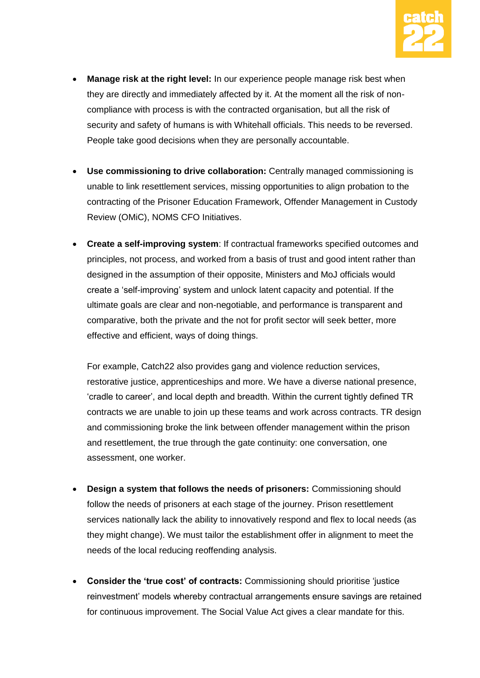

- **Manage risk at the right level:** In our experience people manage risk best when they are directly and immediately affected by it. At the moment all the risk of noncompliance with process is with the contracted organisation, but all the risk of security and safety of humans is with Whitehall officials. This needs to be reversed. People take good decisions when they are personally accountable.
- **Use commissioning to drive collaboration:** Centrally managed commissioning is unable to link resettlement services, missing opportunities to align probation to the contracting of the Prisoner Education Framework, Offender Management in Custody Review (OMiC), NOMS CFO Initiatives.
- **Create a self-improving system**: If contractual frameworks specified outcomes and principles, not process, and worked from a basis of trust and good intent rather than designed in the assumption of their opposite, Ministers and MoJ officials would create a 'self-improving' system and unlock latent capacity and potential. If the ultimate goals are clear and non-negotiable, and performance is transparent and comparative, both the private and the not for profit sector will seek better, more effective and efficient, ways of doing things.

For example, Catch22 also provides gang and violence reduction services, restorative justice, apprenticeships and more. We have a diverse national presence, 'cradle to career', and local depth and breadth. Within the current tightly defined TR contracts we are unable to join up these teams and work across contracts. TR design and commissioning broke the link between offender management within the prison and resettlement, the true through the gate continuity: one conversation, one assessment, one worker.

- **Design a system that follows the needs of prisoners:** Commissioning should follow the needs of prisoners at each stage of the journey. Prison resettlement services nationally lack the ability to innovatively respond and flex to local needs (as they might change). We must tailor the establishment offer in alignment to meet the needs of the local reducing reoffending analysis.
- **Consider the 'true cost' of contracts:** Commissioning should prioritise 'justice reinvestment' models whereby contractual arrangements ensure savings are retained for continuous improvement. The Social Value Act gives a clear mandate for this.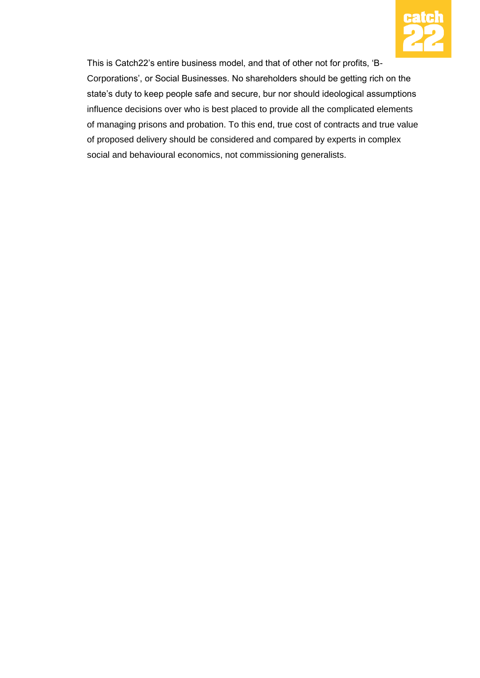

This is Catch22's entire business model, and that of other not for profits, 'B-Corporations', or Social Businesses. No shareholders should be getting rich on the state's duty to keep people safe and secure, bur nor should ideological assumptions influence decisions over who is best placed to provide all the complicated elements of managing prisons and probation. To this end, true cost of contracts and true value of proposed delivery should be considered and compared by experts in complex social and behavioural economics, not commissioning generalists.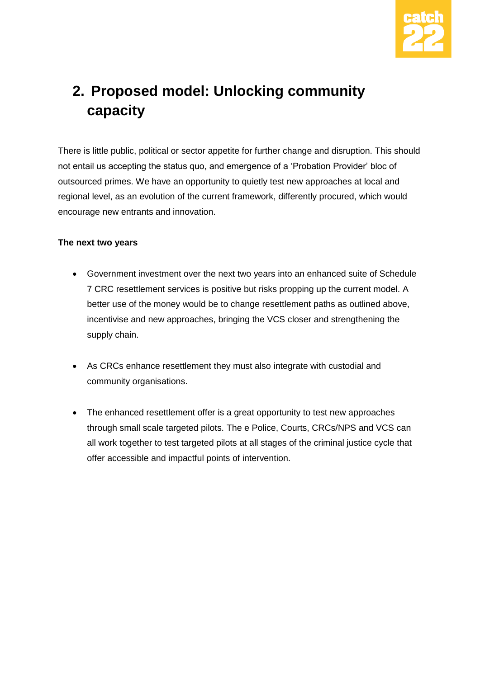

# **2. Proposed model: Unlocking community capacity**

There is little public, political or sector appetite for further change and disruption. This should not entail us accepting the status quo, and emergence of a 'Probation Provider' bloc of outsourced primes. We have an opportunity to quietly test new approaches at local and regional level, as an evolution of the current framework, differently procured, which would encourage new entrants and innovation.

#### **The next two years**

- Government investment over the next two years into an enhanced suite of Schedule 7 CRC resettlement services is positive but risks propping up the current model. A better use of the money would be to change resettlement paths as outlined above, incentivise and new approaches, bringing the VCS closer and strengthening the supply chain.
- As CRCs enhance resettlement they must also integrate with custodial and community organisations.
- The enhanced resettlement offer is a great opportunity to test new approaches through small scale targeted pilots. The e Police, Courts, CRCs/NPS and VCS can all work together to test targeted pilots at all stages of the criminal justice cycle that offer accessible and impactful points of intervention.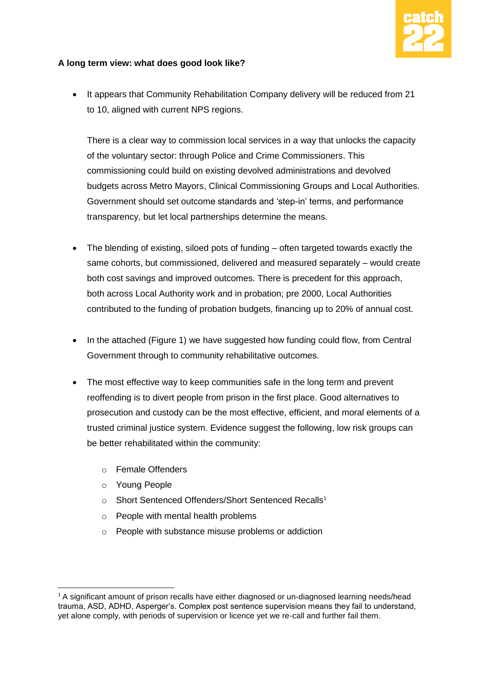

#### **A long term view: what does good look like?**

 It appears that Community Rehabilitation Company delivery will be reduced from 21 to 10, aligned with current NPS regions.

There is a clear way to commission local services in a way that unlocks the capacity of the voluntary sector: through Police and Crime Commissioners. This commissioning could build on existing devolved administrations and devolved budgets across Metro Mayors, Clinical Commissioning Groups and Local Authorities. Government should set outcome standards and 'step-in' terms, and performance transparency, but let local partnerships determine the means.

- The blending of existing, siloed pots of funding often targeted towards exactly the same cohorts, but commissioned, delivered and measured separately – would create both cost savings and improved outcomes. There is precedent for this approach, both across Local Authority work and in probation; pre 2000, Local Authorities contributed to the funding of probation budgets, financing up to 20% of annual cost.
- In the attached (Figure 1) we have suggested how funding could flow, from Central Government through to community rehabilitative outcomes.
- The most effective way to keep communities safe in the long term and prevent reoffending is to divert people from prison in the first place. Good alternatives to prosecution and custody can be the most effective, efficient, and moral elements of a trusted criminal justice system. Evidence suggest the following, low risk groups can be better rehabilitated within the community:
	- o Female Offenders
	- o Young People

-

- o Short Sentenced Offenders/Short Sentenced Recalls<sup>1</sup>
- o People with mental health problems
- o People with substance misuse problems or addiction

<sup>&</sup>lt;sup>1</sup> A significant amount of prison recalls have either diagnosed or un-diagnosed learning needs/head trauma, ASD, ADHD, Asperger's. Complex post sentence supervision means they fail to understand, yet alone comply, with periods of supervision or licence yet we re-call and further fail them.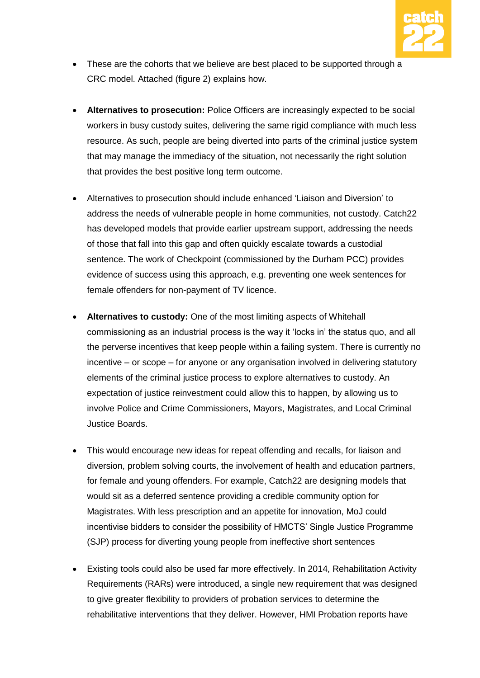

- These are the cohorts that we believe are best placed to be supported through a CRC model. Attached (figure 2) explains how.
- **Alternatives to prosecution:** Police Officers are increasingly expected to be social workers in busy custody suites, delivering the same rigid compliance with much less resource. As such, people are being diverted into parts of the criminal justice system that may manage the immediacy of the situation, not necessarily the right solution that provides the best positive long term outcome.
- Alternatives to prosecution should include enhanced 'Liaison and Diversion' to address the needs of vulnerable people in home communities, not custody. Catch22 has developed models that provide earlier upstream support, addressing the needs of those that fall into this gap and often quickly escalate towards a custodial sentence. The work of Checkpoint (commissioned by the Durham PCC) provides evidence of success using this approach, e.g. preventing one week sentences for female offenders for non-payment of TV licence.
- **Alternatives to custody:** One of the most limiting aspects of Whitehall commissioning as an industrial process is the way it 'locks in' the status quo, and all the perverse incentives that keep people within a failing system. There is currently no incentive – or scope – for anyone or any organisation involved in delivering statutory elements of the criminal justice process to explore alternatives to custody. An expectation of justice reinvestment could allow this to happen, by allowing us to involve Police and Crime Commissioners, Mayors, Magistrates, and Local Criminal Justice Boards.
- This would encourage new ideas for repeat offending and recalls, for liaison and diversion, problem solving courts, the involvement of health and education partners, for female and young offenders. For example, Catch22 are designing models that would sit as a deferred sentence providing a credible community option for Magistrates. With less prescription and an appetite for innovation, MoJ could incentivise bidders to consider the possibility of HMCTS' Single Justice Programme (SJP) process for diverting young people from ineffective short sentences
- Existing tools could also be used far more effectively. In 2014, Rehabilitation Activity Requirements (RARs) were introduced, a single new requirement that was designed to give greater flexibility to providers of probation services to determine the rehabilitative interventions that they deliver. However, HMI Probation reports have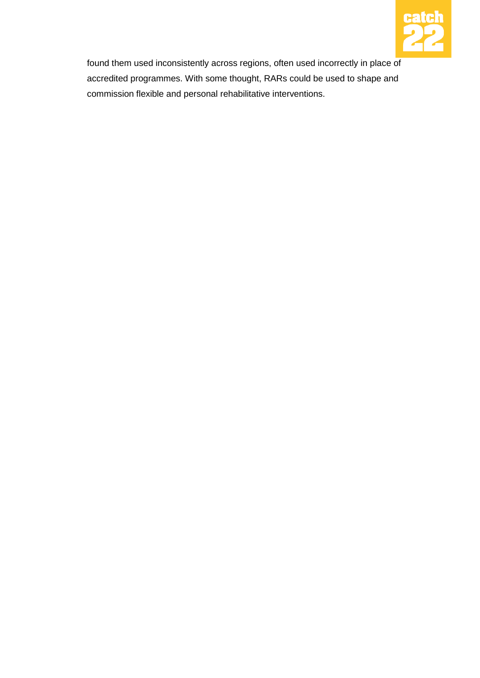

found them used inconsistently across regions, often used incorrectly in place of accredited programmes. With some thought, RARs could be used to shape and commission flexible and personal rehabilitative interventions.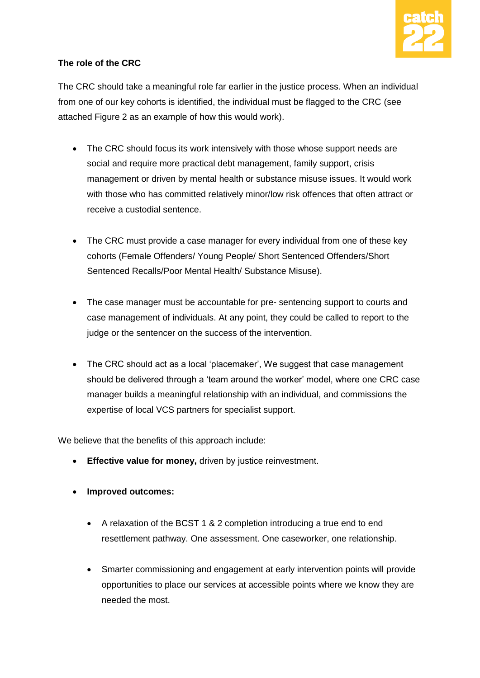

#### **The role of the CRC**

The CRC should take a meaningful role far earlier in the justice process. When an individual from one of our key cohorts is identified, the individual must be flagged to the CRC (see attached Figure 2 as an example of how this would work).

- The CRC should focus its work intensively with those whose support needs are social and require more practical debt management, family support, crisis management or driven by mental health or substance misuse issues. It would work with those who has committed relatively minor/low risk offences that often attract or receive a custodial sentence.
- The CRC must provide a case manager for every individual from one of these key cohorts (Female Offenders/ Young People/ Short Sentenced Offenders/Short Sentenced Recalls/Poor Mental Health/ Substance Misuse).
- The case manager must be accountable for pre- sentencing support to courts and case management of individuals. At any point, they could be called to report to the judge or the sentencer on the success of the intervention.
- The CRC should act as a local 'placemaker', We suggest that case management should be delivered through a 'team around the worker' model, where one CRC case manager builds a meaningful relationship with an individual, and commissions the expertise of local VCS partners for specialist support.

We believe that the benefits of this approach include:

- **Effective value for money, driven by justice reinvestment.**
- **Improved outcomes:**
	- A relaxation of the BCST 1 & 2 completion introducing a true end to end resettlement pathway. One assessment. One caseworker, one relationship.
	- Smarter commissioning and engagement at early intervention points will provide opportunities to place our services at accessible points where we know they are needed the most.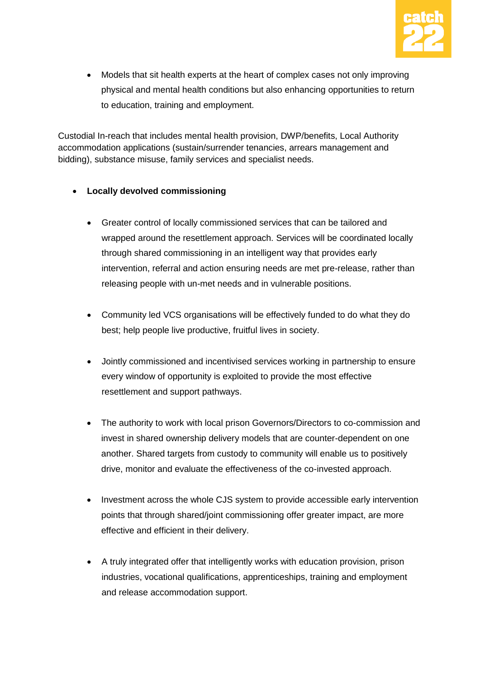

• Models that sit health experts at the heart of complex cases not only improving physical and mental health conditions but also enhancing opportunities to return to education, training and employment.

Custodial In-reach that includes mental health provision, DWP/benefits, Local Authority accommodation applications (sustain/surrender tenancies, arrears management and bidding), substance misuse, family services and specialist needs.

#### **Locally devolved commissioning**

- Greater control of locally commissioned services that can be tailored and wrapped around the resettlement approach. Services will be coordinated locally through shared commissioning in an intelligent way that provides early intervention, referral and action ensuring needs are met pre-release, rather than releasing people with un-met needs and in vulnerable positions.
- Community led VCS organisations will be effectively funded to do what they do best; help people live productive, fruitful lives in society.
- Jointly commissioned and incentivised services working in partnership to ensure every window of opportunity is exploited to provide the most effective resettlement and support pathways.
- The authority to work with local prison Governors/Directors to co-commission and invest in shared ownership delivery models that are counter-dependent on one another. Shared targets from custody to community will enable us to positively drive, monitor and evaluate the effectiveness of the co-invested approach.
- Investment across the whole CJS system to provide accessible early intervention points that through shared/joint commissioning offer greater impact, are more effective and efficient in their delivery.
- A truly integrated offer that intelligently works with education provision, prison industries, vocational qualifications, apprenticeships, training and employment and release accommodation support.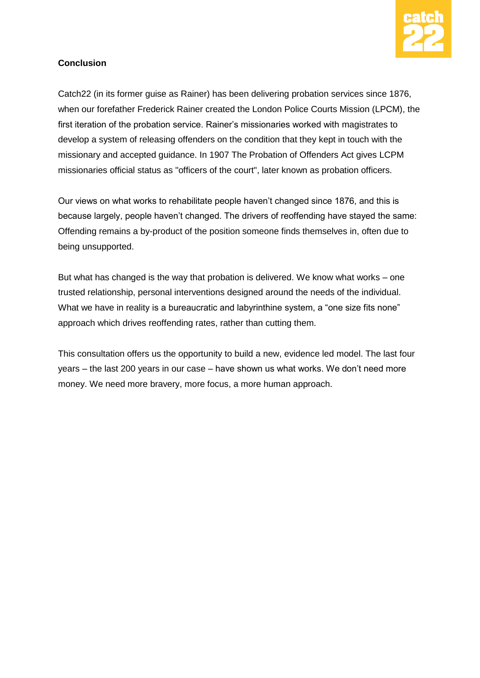

#### **Conclusion**

Catch22 (in its former guise as Rainer) has been delivering probation services since 1876, when our forefather Frederick Rainer created the London Police Courts Mission (LPCM), the first iteration of the probation service. Rainer's missionaries worked with magistrates to develop a system of releasing offenders on the condition that they kept in touch with the missionary and accepted guidance. In 1907 The Probation of Offenders Act gives LCPM missionaries official status as "officers of the court", later known as probation officers.

Our views on what works to rehabilitate people haven't changed since 1876, and this is because largely, people haven't changed. The drivers of reoffending have stayed the same: Offending remains a by-product of the position someone finds themselves in, often due to being unsupported.

But what has changed is the way that probation is delivered. We know what works – one trusted relationship, personal interventions designed around the needs of the individual. What we have in reality is a bureaucratic and labyrinthine system, a "one size fits none" approach which drives reoffending rates, rather than cutting them.

This consultation offers us the opportunity to build a new, evidence led model. The last four years – the last 200 years in our case – have shown us what works. We don't need more money. We need more bravery, more focus, a more human approach.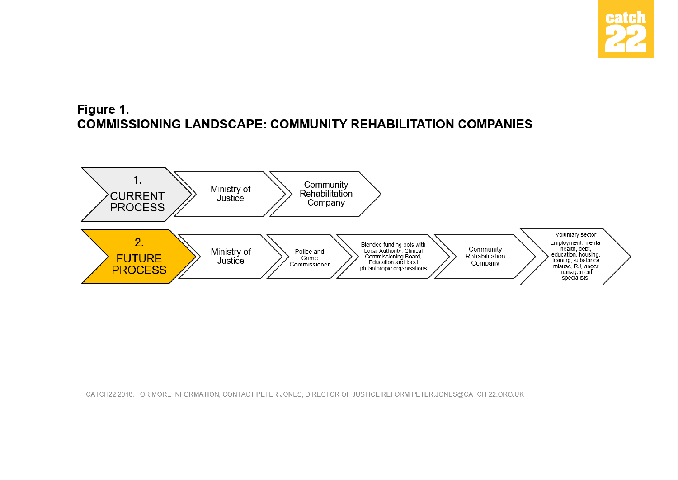

## Figure 1. **COMMISSIONING LANDSCAPE: COMMUNITY REHABILITATION COMPANIES**



CATCH22 2018. FOR MORE INFORMATION, CONTACT PETER JONES, DIRECTOR OF JUSTICE REFORM PETER.JONES@CATCH-22.ORG.UK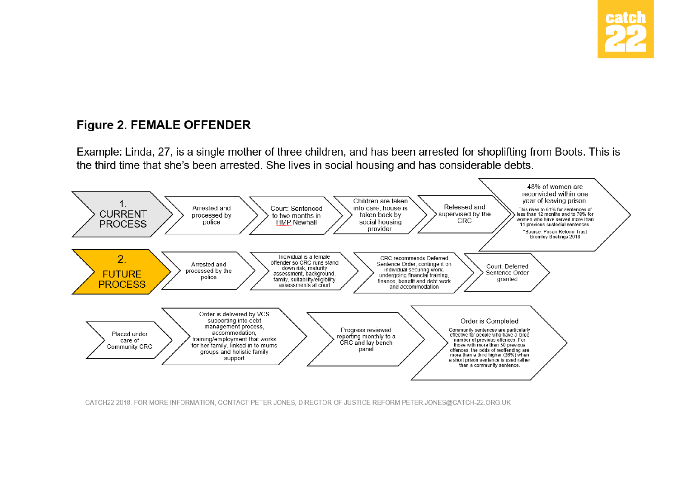

## **Figure 2. FEMALE OFFENDER**

Example: Linda, 27, is a single mother of three children, and has been arrested for shoplifting from Boots. This is the third time that she's been arrested. She lives in social housing and has considerable debts.



CATCH22 2018. FOR MORE INFORMATION, CONTACT PETER JONES, DIRECTOR OF JUSTICE REFORM PETER JONES@CATCH-22.ORG.UK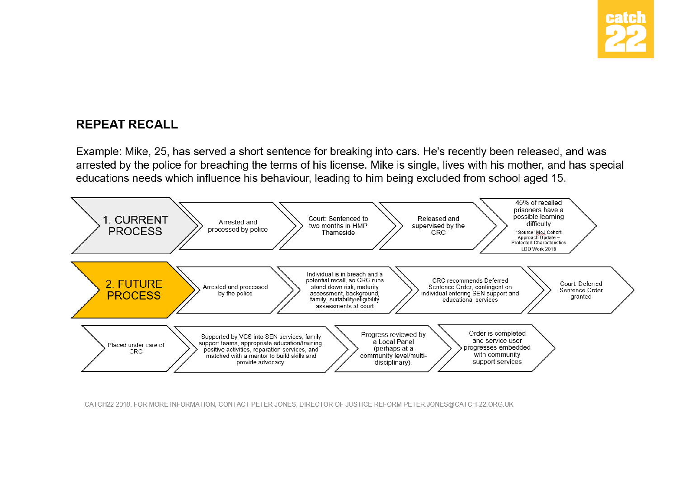

## **REPEAT RECALL**

Example: Mike, 25, has served a short sentence for breaking into cars. He's recently been released, and was arrested by the police for breaching the terms of his license. Mike is single, lives with his mother, and has special educations needs which influence his behaviour, leading to him being excluded from school aged 15.



CATCH22 2018. FOR MORE INFORMATION, CONTACT PETER JONES, DIRECTOR OF JUSTICE REFORM PETER.JONES@CATCH-22.ORG.UK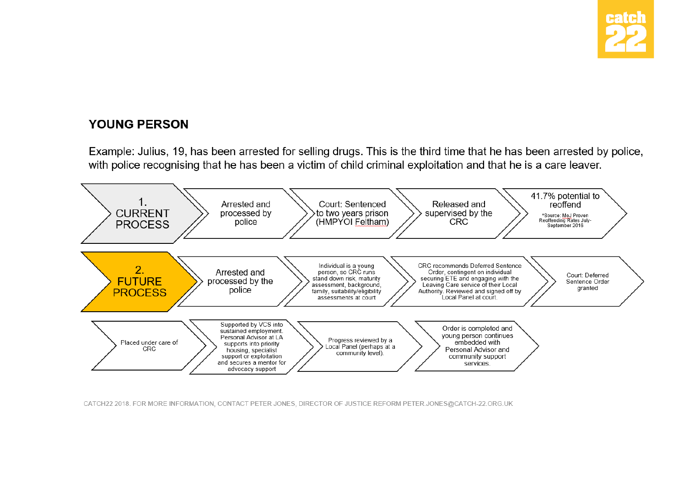

## **YOUNG PERSON**

Example: Julius, 19, has been arrested for selling drugs. This is the third time that he has been arrested by police, with police recognising that he has been a victim of child criminal exploitation and that he is a care leaver.



CATCH22 2018. FOR MORE INFORMATION, CONTACT PETER JONES, DIRECTOR OF JUSTICE REFORM PETER.JONES@CATCH-22.ORG.UK